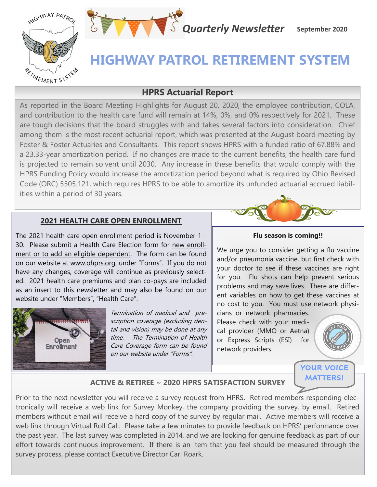



## **HIGHWAY PATROL RETIREMENT SYSTEM**

## **HPRS Actuarial Report**

As reported in the Board Meeting Highlights for August 20, 2020, the employee contribution, COLA, and contribution to the health care fund will remain at 14%, 0%, and 0% respectively for 2021. These are tough decisions that the board struggles with and takes several factors into consideration. Chief among them is the most recent actuarial report, which was presented at the August board meeting by Foster & Foster Actuaries and Consultants. This report shows HPRS with a funded ratio of 67.88% and a 23.33-year amortization period. If no changes are made to the current benefits, the health care fund is projected to remain solvent until 2030. Any increase in these benefits that would comply with the HPRS Funding Policy would increase the amortization period beyond what is required by Ohio Revised Code (ORC) 5505.121, which requires HPRS to be able to amortize its unfunded actuarial accrued liabilities within a period of 30 years.

## **2021 HEALTH CARE OPEN ENROLLMENT**

The 2021 health care open enrollment period is November 1 - 30. Please submit a Health Care Election form for new enrollment or to add an eligible dependent. The form can be found on our website at www.ohprs.org, under "Forms". If you do not have any changes, coverage will continue as previously selected. 2021 health care premiums and plan co-pays are included as an insert to this newsletter and may also be found on our website under "Members", "Health Care".



Termination of medical and prescription coverage (excluding dental and vision) may be done at any time. The Termination of Health Care Coverage form can be found on our website under "Forms".



#### **Flu season is coming!!**

We urge you to consider getting a flu vaccine and/or pneumonia vaccine, but first check with your doctor to see if these vaccines are right for you. Flu shots can help prevent serious problems and may save lives. There are different variables on how to get these vaccines at no cost to you. You must use network physi-

cians or network pharmacies. Please check with your medical provider (MMO or Aetna) or Express Scripts (ESI) for network providers.



**YOUR VOICE MATTERS!**

## **ACTIVE & RETIREE ~ 2020 HPRS SATISFACTION SURVEY**

Prior to the next newsletter you will receive a survey request from HPRS. Retired members responding electronically will receive a web link for Survey Monkey, the company providing the survey, by email. Retired members without email will receive a hard copy of the survey by regular mail. Active members will receive a web link through Virtual Roll Call. Please take a few minutes to provide feedback on HPRS' performance over the past year. The last survey was completed in 2014, and we are looking for genuine feedback as part of our effort towards continuous improvement. If there is an item that you feel should be measured through the survey process, please contact Executive Director Carl Roark.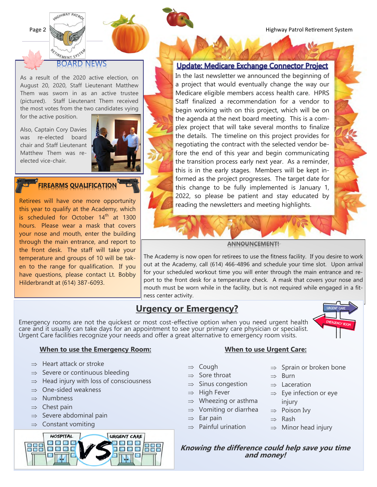Page 2 **Marshall Marshall Retirement System** 

#### TREMENT SYSTE BOARD **NEWS**

**WIGHWAY PATRO** 

As a result of the 2020 active election, on August 20, 2020, Staff Lieutenant Matthew Them was sworn in as an active trustee (pictured). Staff Lieutenant Them received the most votes from the two candidates vying for the active position.

Also, Captain Cory Davies was re-elected board chair and Staff Lieutenant Matthew Them was reelected vice-chair.



## **FIREARMS QUALIFICATION**

Retirees will have one more opportunity this year to qualify at the Academy, which is scheduled for October  $14<sup>th</sup>$  at 1300 hours. Please wear a mask that covers your nose and mouth, enter the building through the main entrance, and report to the front desk. The staff will take your temperature and groups of 10 will be taken to the range for qualification. If you have questions, please contact Lt. Bobby Hilderbrandt at (614) 387-6093.



#### Update: Medicare Exchange Connector Project

In the last newsletter we announced the beginning of a project that would eventually change the way our Medicare eligible members access health care. HPRS Staff finalized a recommendation for a vendor to begin working with on this project, which will be on the agenda at the next board meeting. This is a complex project that will take several months to finalize the details. The timeline on this project provides for negotiating the contract with the selected vendor before the end of this year and begin communicating the transition process early next year. As a reminder, this is in the early stages. Members will be kept informed as the project progresses. The target date for this change to be fully implemented is January 1, 2022, so please be patient and stay educated by reading the newsletters and meeting highlights.



The Academy is now open for retirees to use the fitness facility. If you desire to work out at the Academy, call (614) 466-4896 and schedule your time slot. Upon arrival for your scheduled workout time you will enter through the main entrance and report to the front desk for a temperature check. A mask that covers your nose and mouth must be worn while in the facility, but is not required while engaged in a fitness center activity.

## **Urgency or Emergency?**

Emergency rooms are not the quickest or most cost-effective option when you need urgent health care and it usually can take days for an appointment to see your primary care physician or specialist. Urgent Care facilities recognize your needs and offer a great alternative to emergency room visits.



#### **When to use the Emergency Room:**

- $\Rightarrow$  Heart attack or stroke
- $\Rightarrow$  Severe or continuous bleeding
- $\Rightarrow$  Head injury with loss of consciousness
- $\Rightarrow$  One-sided weakness
- $\Rightarrow$  Numbness
- $\Rightarrow$  Chest pain
- $\Rightarrow$  Severe abdominal pain
- $\Rightarrow$  Constant vomiting



#### **When to use Urgent Care:**

- $\Rightarrow$  Cough
- $\Rightarrow$  Sore throat
- $\Rightarrow$  Sinus congestion
- $\Rightarrow$  High Fever
- $\Rightarrow$  Wheezing or asthma
- $\Rightarrow$  Vomiting or diarrhea
- $\Rightarrow$  Ear pain
- $\Rightarrow$  Painful urination
- $\Rightarrow$  Sprain or broken bone
- $\Rightarrow$  Burn
- $\Rightarrow$  Laceration
- $\Rightarrow$  Eye infection or eye injury
- $\Rightarrow$  Poison Ivy
- $\Rightarrow$  Rash
- $\Rightarrow$  Minor head injury

**Knowing the difference could help save you time and money!**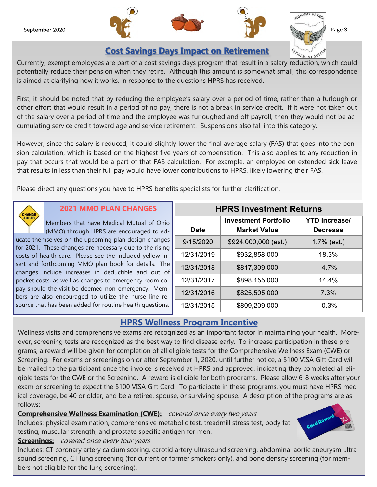

Page 3

## **Cost Savings Days Impact on Retirement**

Currently, exempt employees are part of a cost savings days program that result in a salary reduction, which could potentially reduce their pension when they retire. Although this amount is somewhat small, this correspondence is aimed at clarifying how it works, in response to the questions HPRS has received.

First, it should be noted that by reducing the employee's salary over a period of time, rather than a furlough or other effort that would result in a period of no pay, there is not a break in service credit. If it were not taken out of the salary over a period of time and the employee was furloughed and off payroll, then they would not be accumulating service credit toward age and service retirement. Suspensions also fall into this category.

However, since the salary is reduced, it could slightly lower the final average salary (FAS) that goes into the pension calculation, which is based on the highest five years of compensation. This also applies to any reduction in pay that occurs that would be a part of that FAS calculation. For example, an employee on extended sick leave that results in less than their full pay would have lower contributions to HPRS, likely lowering their FAS.

Please direct any questions you have to HPRS benefits specialists for further clarification.



## **2021 MMO PLAN CHANGES**

Members that have Medical Mutual of Ohio (MMO) through HPRS are encouraged to educate themselves on the upcoming plan design changes for 2021. These changes are necessary due to the rising

costs of health care. Please see the included yellow insert and forthcoming MMO plan book for details. The changes include increases in deductible and out of pocket costs, as well as changes to emergency room copay should the visit be deemed non-emergency. Members are also encouraged to utilize the nurse line resource that has been added for routine health questions.

| <b>HPRS Investment Returns</b> |                                                    |                                         |  |
|--------------------------------|----------------------------------------------------|-----------------------------------------|--|
| <b>Date</b>                    | <b>Investment Portfolio</b><br><b>Market Value</b> | <b>YTD Increase/</b><br><b>Decrease</b> |  |
| 9/15/2020                      | \$924,000,000 (est.)                               | $1.7\%$ (est.)                          |  |
| 12/31/2019                     | \$932,858,000                                      | 18.3%                                   |  |
| 12/31/2018                     | \$817,309,000                                      | $-4.7%$                                 |  |
| 12/31/2017                     | \$898,155,000                                      | 14.4%                                   |  |
| 12/31/2016                     | \$825,505,000                                      | 7.3%                                    |  |
| 12/31/2015                     | \$809,209,000                                      | $-0.3%$                                 |  |

## **HPRS Wellness Program Incentive**

Wellness visits and comprehensive exams are recognized as an important factor in maintaining your health. Moreover, screening tests are recognized as the best way to find disease early. To increase participation in these programs, a reward will be given for completion of all eligible tests for the Comprehensive Wellness Exam (CWE) or Screening. For exams or screenings on or after September 1, 2020, until further notice, a \$100 VISA Gift Card will be mailed to the participant once the invoice is received at HPRS and approved, indicating they completed all eligible tests for the CWE or the Screening. A reward is eligible for both programs. Please allow 6-8 weeks after your exam or screening to expect the \$100 VISA Gift Card. To participate in these programs, you must have HPRS medical coverage, be 40 or older, and be a retiree, spouse, or surviving spouse. A description of the programs are as follows:

**Comprehensive Wellness Examination (CWE):** - covered once every two years

Includes: physical examination, comprehensive metabolic test, treadmill stress test, body fat testing, muscular strength, and prostate specific antigen for men.

# Card Rev

### **Screenings:** - covered once every four years

Includes: CT coronary artery calcium scoring, carotid artery ultrasound screening, abdominal aortic aneurysm ultrasound screening, CT lung screening (for current or former smokers only), and bone density screening (for members not eligible for the lung screening).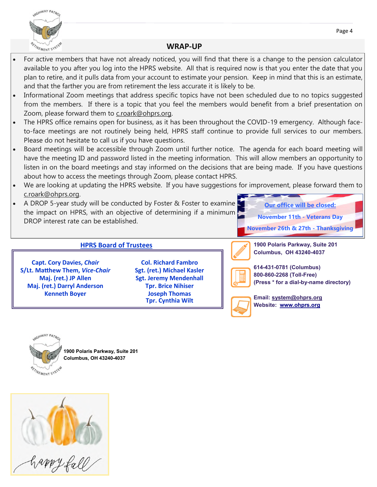



#### **WRAP-UP**

- For active members that have not already noticed, you will find that there is a change to the pension calculator available to you after you log into the HPRS website. All that is required now is that you enter the date that you plan to retire, and it pulls data from your account to estimate your pension. Keep in mind that this is an estimate, and that the farther you are from retirement the less accurate it is likely to be.
- Informational Zoom meetings that address specific topics have not been scheduled due to no topics suggested from the members. If there is a topic that you feel the members would benefit from a brief presentation on Zoom, please forward them to [c.roark@ohprs.org.](mailto:c.roark@ohprs.org)
- The HPRS office remains open for business, as it has been throughout the COVID-19 emergency. Although faceto-face meetings are not routinely being held, HPRS staff continue to provide full services to our members. Please do not hesitate to call us if you have questions.
- Board meetings will be accessible through Zoom until further notice. The agenda for each board meeting will have the meeting ID and password listed in the meeting information. This will allow members an opportunity to listen in on the board meetings and stay informed on the decisions that are being made. If you have questions about how to access the meetings through Zoom, please contact HPRS.
- We are looking at updating the HPRS website. If you have suggestions for improvement, please forward them to [c.roark@ohprs.org](mailto:c.roark@ohprs.org).
- A DROP 5-year study will be conducted by Foster & Foster to examine the impact on HPRS, with an objective of determining if a minimum DROP interest rate can be established.



#### **HPRS Board of Trustees**

**Capt. Cory Davies,** *Chair* **S/Lt. Matthew Them,** *Vice***-***Chair* **Maj. (ret.) JP Allen Maj. (ret.) Darryl Anderson Kenneth Boyer**

**Col. Richard Fambro Sgt. (ret.) Michael Kasler Sgt. Jeremy Mendenhall Tpr. Brice Nihiser Joseph Thomas Tpr. Cynthia Wilt**

**1900 Polaris Parkway, Suite 201 Columbus, OH 43240-4037**



**614-431-0781 (Columbus) 800-860-2268 (Toll-Free) (Press \* for a dial-by-name directory)**



**Email: system@ohprs.org Website: [www.ohprs.org](http://www.ohprs.org)**



**1900 Polaris Parkway, Suite 201 Columbus, OH 43240-4037**